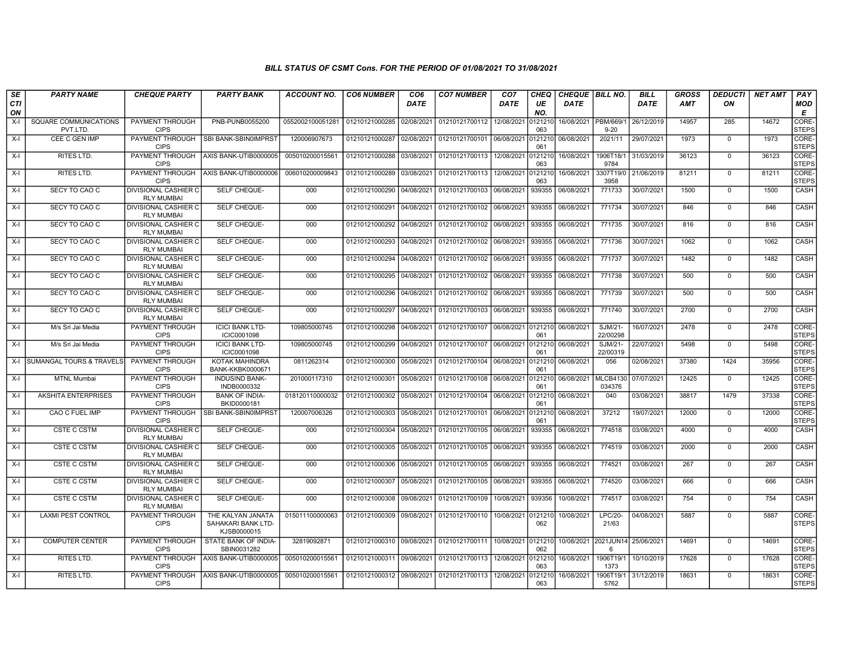| <b>SE</b> | <b>PARTY NAME</b>                   | <b>CHEQUE PARTY</b>                              | <b>PARTY BANK</b>                                      | <b>ACCOUNT NO.</b> | <b>CO6 NUMBER</b>         | CO <sub>6</sub> | <b>CO7 NUMBER</b>                 | CO <sub>7</sub> | CHEQ           | <b>CHEQUE BILL NO.</b> |                           | <b>BILL</b> | <b>GROSS</b> | <b>DEDUCTI</b> | <b>NET AMT</b> | PAY                         |
|-----------|-------------------------------------|--------------------------------------------------|--------------------------------------------------------|--------------------|---------------------------|-----------------|-----------------------------------|-----------------|----------------|------------------------|---------------------------|-------------|--------------|----------------|----------------|-----------------------------|
| CTI<br>ON |                                     |                                                  |                                                        |                    |                           | DATE            |                                   | DATE            | UE<br>NO.      | <b>DATE</b>            |                           | <b>DATE</b> | <b>AMT</b>   | ON             |                | <b>MOD</b><br>Е             |
| $X-I$     | SQUARE COMMUNICATIONS<br>PVT.LTD.   | PAYMENT THROUGH<br><b>CIPS</b>                   | PNB-PUNB0055200                                        | 0552002100051281   | 01210121000285            | 02/08/2021      | 01210121700112 12/08/2021         |                 | 0121210<br>063 | 16/08/2021   PBM/669/1 | $9 - 20$                  | 26/12/2019  | 14957        | 285            | 14672          | <b>CORE</b><br><b>STEPS</b> |
| $X-I$     | CEE C GEN IMP                       | PAYMENT THROUGH<br><b>CIPS</b>                   | SBI BANK-SBIN0IMPRST                                   | 120006907673       | 01210121000287            | 02/08/2021      | 01210121700101 06/08/2021         |                 | 0121210<br>061 | 06/08/2021             | 2021/11                   | 29/07/2021  | 1973         | $\mathbf 0$    | 1973           | CORE-<br><b>STEPS</b>       |
| $X-I$     | RITES LTD.                          | PAYMENT THROUGH<br><b>CIPS</b>                   | AXIS BANK-UTIB0000005                                  | 005010200015561    | 01210121000288            | 03/08/2021      | 01210121700113 12/08/2021         |                 | 0121210<br>063 | 16/08/2021             | 1906T18/1<br>9784         | 31/03/2019  | 36123        | $\mathbf 0$    | 36123          | CORE-<br><b>STEPS</b>       |
| $X-I$     | RITES LTD.                          | <b>CIPS</b>                                      | PAYMENT THROUGH   AXIS BANK-UTIB0000006                | 006010200009843    | 01210121000289            | 03/08/2021      | 01210121700113                    | 12/08/2021      | 0121210<br>063 | 16/08/2021             | 3307T19/0<br>3958         | 21/06/2019  | 81211        | $\mathbf 0$    | 81211          | CORE-<br>STEPS              |
| $X-I$     | SECY TO CAO C                       | <b>DIVISIONAL CASHIER C</b><br><b>RLY MUMBAI</b> | SELF CHEQUE-                                           | 000                | 01210121000290            | 04/08/2021      | 01210121700103                    | 06/08/2021      | 939355         | 06/08/2021             | 771733                    | 30/07/2021  | 1500         | $\mathbf 0$    | 1500           | <b>CASH</b>                 |
| $X-I$     | SECY TO CAO C                       | <b>DIVISIONAL CASHIER C</b><br><b>RLY MUMBAI</b> | <b>SELF CHEQUE-</b>                                    | 000                | 01210121000291            | 04/08/2021      | 01210121700102                    | 06/08/2021      | 939355         | 06/08/2021             | 771734                    | 30/07/2021  | 846          | $\mathbf 0$    | 846            | <b>CASH</b>                 |
| $X-I$     | SECY TO CAO C                       | <b>DIVISIONAL CASHIER C</b><br><b>RLY MUMBAI</b> | SELF CHEQUE-                                           | 000                | 01210121000292            | 04/08/2021      | 01210121700102 06/08/2021         |                 | 939355         | 06/08/2021             | 771735                    | 30/07/2021  | 816          | $\Omega$       | 816            | CASH                        |
| $X-I$     | SECY TO CAO C                       | <b>DIVISIONAL CASHIER C</b><br><b>RLY MUMBAI</b> | SELF CHEQUE-                                           | 000                | 01210121000293            | 04/08/2021      | 01210121700102                    | 06/08/2021      | 939355         | 06/08/2021             | 771736                    | 30/07/2021  | 1062         | $\mathbf 0$    | 1062           | <b>CASH</b>                 |
| $X-I$     | SECY TO CAO C                       | <b>DIVISIONAL CASHIER C</b><br><b>RLY MUMBAI</b> | SELF CHEQUE-                                           | 000                | 01210121000294            | 04/08/2021      | 01210121700102 06/08/2021         |                 | 939355         | 06/08/2021             | 771737                    | 30/07/2021  | 1482         | $\mathbf 0$    | 1482           | <b>CASH</b>                 |
| $X-I$     | SECY TO CAO C                       | <b>DIVISIONAL CASHIER C</b><br><b>RLY MUMBAI</b> | SELF CHEQUE-                                           | 000                | 01210121000295            | 04/08/2021      | 01210121700102 06/08/2021         |                 | 939355         | 06/08/2021             | 771738                    | 30/07/2021  | 500          | $\mathbf 0$    | 500            | <b>CASH</b>                 |
| $X-I$     | SECY TO CAO C                       | <b>DIVISIONAL CASHIER C</b><br><b>RLY MUMBAI</b> | SELF CHEQUE-                                           | 000                | 01210121000296            | 04/08/2021      | 01210121700102 06/08/2021         |                 | 939355         | 06/08/2021             | 771739                    | 30/07/2021  | 500          | $\Omega$       | 500            | CASH                        |
| $X-I$     | SECY TO CAO C                       | <b>DIVISIONAL CASHIER C</b><br><b>RLY MUMBAI</b> | SELF CHEQUE-                                           | 000                | 01210121000297            | 04/08/2021      | 01210121700103 06/08/2021         |                 | 939355         | 06/08/2021             | 771740                    | 30/07/2021  | 2700         | $\mathbf 0$    | 2700           | CASH                        |
| $X-I$     | M/s Sri Jai Media                   | PAYMENT THROUGH<br><b>CIPS</b>                   | <b>ICICI BANK LTD-</b><br>ICIC0001098                  | 109805000745       | 01210121000298            | 04/08/2021      | 01210121700107 06/08/2021         |                 | 0121210<br>061 | 06/08/2021             | $SJM/21-$<br>22/00298     | 16/07/2021  | 2478         | $\mathbf 0$    | 2478           | <b>CORE</b><br><b>STEPS</b> |
| $X-I$     | M/s Sri Jai Media                   | <b>PAYMENT THROUGH</b><br><b>CIPS</b>            | <b>ICICI BANK LTD-</b><br>ICIC0001098                  | 109805000745       | 01210121000299            | 04/08/2021      | 01210121700107 06/08/2021         |                 | 0121210<br>061 | 06/08/2021             | SJM/21-<br>22/00319       | 22/07/2021  | 5498         | $\mathbf 0$    | 5498           | CORE-<br><b>STEPS</b>       |
| $X-I$     | <b>SUMANGAL TOURS &amp; TRAVELS</b> | PAYMENT THROUGH<br><b>CIPS</b>                   | <b>KOTAK MAHINDRA</b><br>BANK-KKBK0000671              | 0811262314         | 01210121000300            | 05/08/2021      | 01210121700104 06/08/2021         |                 | 121210<br>061  | 06/08/2021             | 056                       | 02/08/2021  | 37380        | 1424           | 35956          | CORE-<br><b>STEPS</b>       |
| $X-I$     | <b>MTNL Mumbai</b>                  | PAYMENT THROUGH<br><b>CIPS</b>                   | <b>INDUSIND BANK-</b><br>INDB0000332                   | 201000117310       | 01210121000301            | 05/08/2021      | 01210121700108                    | 06/08/2021      | 0121210<br>061 | 06/08/2021             | <b>MLCB4130</b><br>034376 | 07/07/2021  | 12425        | $\mathbf 0$    | 12425          | CORE-<br><b>STEPS</b>       |
| $X-I$     | <b>AKSHITA ENTERPRISES</b>          | PAYMENT THROUGH<br><b>CIPS</b>                   | <b>BANK OF INDIA-</b><br>BKID0000181                   | 018120110000032    | 01210121000302            | 05/08/2021      | 01210121700104 06/08/2021 0121210 |                 | 061            | 06/08/2021             | 040                       | 03/08/2021  | 38817        | 1479           | 37338          | CORE-<br><b>STEPS</b>       |
| $X-I$     | <b>CAO C FUEL IMP</b>               | PAYMENT THROUGH<br><b>CIPS</b>                   | SBI BANK-SBIN0IMPRST                                   | 120007006326       | 01210121000303            | 05/08/2021      | 01210121700101 06/08/2021         |                 | 0121210<br>061 | 06/08/2021             | 37212                     | 19/07/2021  | 12000        | 0              | 12000          | CORE-<br><b>STEPS</b>       |
| $X-I$     | <b>CSTE C CSTM</b>                  | <b>DIVISIONAL CASHIER C</b><br><b>RLY MUMBAI</b> | SELF CHEQUE-                                           | 000                | 01210121000304            | 05/08/2021      | 01210121700105 06/08/2021         |                 | 939355         | 06/08/2021             | 774518                    | 03/08/2021  | 4000         | $\Omega$       | 4000           | CASH                        |
| $X-I$     | <b>CSTE C CSTM</b>                  | <b>DIVISIONAL CASHIER C</b><br><b>RLY MUMBAI</b> | SELF CHEQUE-                                           | 000                | 01210121000305            | 05/08/2021      | 01210121700105 06/08/2021         |                 | 939355         | 06/08/2021             | 774519                    | 03/08/2021  | 2000         | $\mathbf 0$    | 2000           | CASH                        |
| $X-I$     | <b>CSTE C CSTM</b>                  | <b>DIVISIONAL CASHIER C</b><br><b>RLY MUMBAI</b> | SELF CHEQUE-                                           | 000                | 01210121000306            | 05/08/2021      | 01210121700105 06/08/2021         |                 | 939355         | 06/08/2021             | 774521                    | 03/08/2021  | 267          | $\mathbf 0$    | 267            | CASH                        |
| $X-I$     | <b>CSTE C CSTM</b>                  | <b>DIVISIONAL CASHIER C</b><br><b>RLY MUMBAI</b> | SELF CHEQUE-                                           | 000                | 01210121000307            | 05/08/2021      | 01210121700105                    | 06/08/2021      | 939355         | 06/08/2021             | 774520                    | 03/08/2021  | 666          | $\mathbf 0$    | 666            | <b>CASH</b>                 |
| $X-I$     | <b>CSTE C CSTM</b>                  | <b>DIVISIONAL CASHIER C</b><br><b>RLY MUMBAI</b> | SELF CHEQUE-                                           | 000                | 01210121000308            | 09/08/2021      | 01210121700109                    | 10/08/2021      | 939356         | 10/08/2021             | 774517                    | 03/08/2021  | 754          | $\Omega$       | 754            | CASH                        |
| $X-I$     | <b>LAXMI PEST CONTROL</b>           | PAYMENT THROUGH<br><b>CIPS</b>                   | THE KALYAN JANATA<br>SAHAKARI BANK LTD-<br>KJSB0000015 | 015011100000063    | 01210121000309            | 09/08/2021      | 01210121700110 10/08/2021 0121210 |                 | 062            | 10/08/2021             | LPC/20-<br>21/63          | 04/08/2021  | 5887         | $\mathbf 0$    | 5887           | CORE-<br><b>STEPS</b>       |
| $X-I$     | <b>COMPUTER CENTER</b>              | PAYMENT THROUGH<br><b>CIPS</b>                   | STATE BANK OF INDIA-<br>SBIN0031282                    | 32819092871        | 01210121000310 09/08/2021 |                 | 01210121700111 10/08/2021 0121210 |                 | 062            | 10/08/2021 2021JUN14   | 6                         | 25/06/2021  | 14691        | $\mathbf 0$    | 14691          | <b>CORE</b><br><b>STEPS</b> |
| $X-I$     | RITES LTD.                          | PAYMENT THROUGH<br><b>CIPS</b>                   | AXIS BANK-UTIB0000005                                  | 005010200015561    | 01210121000311 09/08/2021 |                 | 01210121700113 12/08/2021         |                 | 0121210<br>063 | 16/08/2021             | 1906T19/<br>1373          | 10/10/2019  | 17628        | $\mathbf 0$    | 17628          | CORE-<br><b>STEPS</b>       |
| $X-I$     | RITES LTD.                          | PAYMENT THROUGH<br><b>CIPS</b>                   | AXIS BANK-UTIB0000005                                  | 005010200015561    | 01210121000312 09/08/2021 |                 | 01210121700113 12/08/2021         |                 | 0121210<br>063 | 16/08/2021             | 1906T19/1<br>5762         | 31/12/2019  | 18631        | $\mathbf 0$    | 18631          | CORE-<br>STEPS              |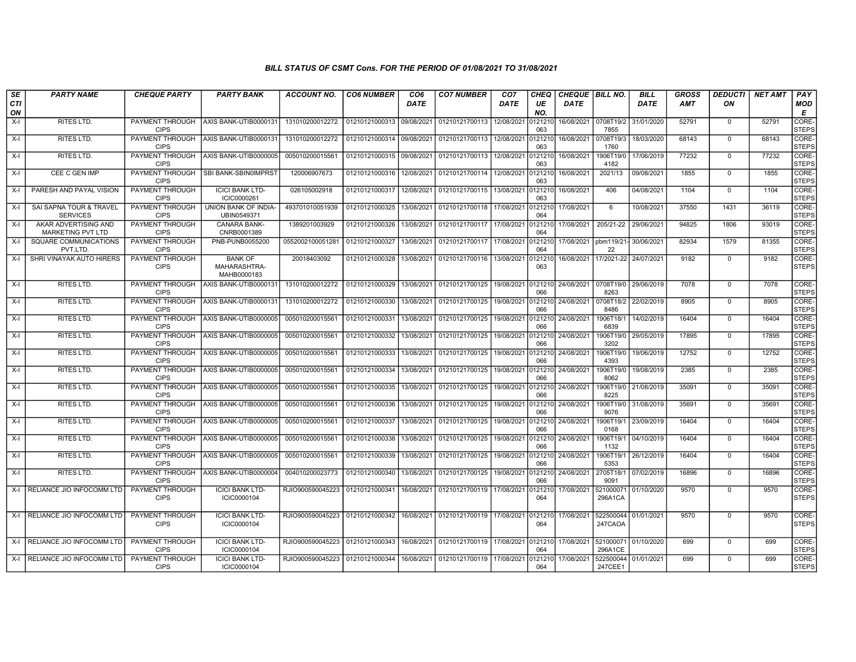| SE               | <b>PARTY NAME</b>                          | <b>CHEQUE PARTY</b>                   | <b>PARTY BANK</b>                             | <b>ACCOUNT NO.</b>                             | <b>CO6 NUMBER</b>         | CO <sub>6</sub> | <b>CO7 NUMBER</b>                 | CO <sub>7</sub> | CHEQ           | <b>CHEQUE BILL NO.</b> |                       | <b>BILL</b>          | <b>GROSS</b> | <b>DEDUCTI</b> | <b>NET AMT</b> | PAY                   |
|------------------|--------------------------------------------|---------------------------------------|-----------------------------------------------|------------------------------------------------|---------------------------|-----------------|-----------------------------------|-----------------|----------------|------------------------|-----------------------|----------------------|--------------|----------------|----------------|-----------------------|
| <b>CTI</b><br>ON |                                            |                                       |                                               |                                                |                           | <b>DATE</b>     |                                   | DATE            | UE<br>NO.      | DATE                   |                       | <b>DATE</b>          | <b>AMT</b>   | ON             |                | MOD<br>E              |
| $X-I$            | RITES LTD.                                 | <b>PAYMENT THROUGH</b><br><b>CIPS</b> | AXIS BANK-UTIB0000131                         | 131010200012272                                | 01210121000313            | 09/08/2021      | 01210121700113                    | 12/08/2021      | 121210<br>063  | 16/08/2021             | 0708T19/2<br>7855     | 31/01/2020           | 52791        | $\mathbf 0$    | 52791          | CORE-<br><b>STEPS</b> |
| X-I              | <b>RITES LTD.</b>                          | PAYMENT THROUGH<br><b>CIPS</b>        | AXIS BANK-UTIB0000131                         | 131010200012272                                | 01210121000314 09/08/2021 |                 | 01210121700113                    | 12/08/2021      | 121210<br>063  | 16/08/2021             | 0708T19/3<br>1760     | 18/03/2020           | 68143        | $\Omega$       | 68143          | CORE-<br><b>STEPS</b> |
| $X-I$            | RITES LTD.                                 | PAYMENT THROUGH<br><b>CIPS</b>        | AXIS BANK-UTIB0000005                         | 00501020001556                                 | 01210121000315            | 09/08/2021      | 01210121700113                    | 12/08/2021      | 121210<br>063  | 16/08/2021             | 1906T19/0<br>4182     | 17/06/2019           | 77232        | $\mathbf 0$    | 77232          | CORE-<br><b>STEPS</b> |
| X-I              | CEE C GEN IMP                              | PAYMENT THROUGH<br><b>CIPS</b>        | SBI BANK-SBIN0IMPRST                          | 120006907673                                   | 01210121000316            | 12/08/2021      | 01210121700114 12/08/2021         |                 | 0121210<br>063 | 16/08/2021             | 2021/13               | 09/08/2021           | 1855         | $\mathbf 0$    | 1855           | CORE-<br><b>STEPS</b> |
| X-I              | PARESH AND PAYAL VISION                    | PAYMENT THROUGH<br><b>CIPS</b>        | <b>ICICI BANK LTD-</b><br>ICIC0000261         | 026105002918                                   | 01210121000317            | 12/08/2021      | 01210121700115                    | 13/08/2021      | 0121210<br>063 | 16/08/2021             | 406                   | 04/08/2021           | 1104         | $\mathbf 0$    | 1104           | CORE-<br><b>STEPS</b> |
| X-I              | SAI SAPNA TOUR & TRAVEL<br><b>SERVICES</b> | PAYMENT THROUGH<br><b>CIPS</b>        | UNION BANK OF INDIA-<br>UBIN0549371           | 493701010051939                                | 01210121000325            | 13/08/2021      | 01210121700118                    | 17/08/2021      | 121210<br>064  | 17/08/2021             | 6                     | 10/08/2021           | 37550        | 1431           | 36119          | CORE-<br><b>STEPS</b> |
| X-I              | AKAR ADVERTISING AND<br>MARKETING PVT LTD  | PAYMENT THROUGH<br><b>CIPS</b>        | CANARA BANK-<br>CNRB0001389                   | 1389201003929                                  | 01210121000326            | 13/08/2021      | 01210121700117                    | 17/08/2021      | 0121210<br>064 | 17/08/2021             | 205/21-22             | 29/06/2021           | 94825        | 1806           | 93019          | CORE-<br><b>STEPS</b> |
| X-I              | SQUARE COMMUNICATIONS<br>PVT.LTD.          | PAYMENT THROUGH<br><b>CIPS</b>        | PNB-PUNB0055200                               | 0552002100051281                               | 01210121000327            | 13/08/2021      | 01210121700117                    | 17/08/2021      | 0121210<br>064 | 17/08/2021             | pbm119/21-<br>22      | 30/06/2021           | 82934        | 1579           | 81355          | CORE-<br><b>STEPS</b> |
| X-I              | SHRI VINAYAK AUTO HIRERS                   | <b>PAYMENT THROUGH</b><br><b>CIPS</b> | <b>BANK OF</b><br>MAHARASHTRA-<br>MAHB0000183 | 20018403092                                    | 01210121000328            | 13/08/2021      | 01210121700116 13/08/2021         |                 | 0121210<br>063 | 16/08/2021             | 17/2021-22 24/07/2021 |                      | 9182         | $\mathbf 0$    | 9182           | CORE-<br><b>STEPS</b> |
| X-I              | RITES LTD.                                 | PAYMENT THROUGH<br><b>CIPS</b>        | AXIS BANK-UTIB0000131                         | 131010200012272                                | 01210121000329            | 13/08/2021      | 01210121700125                    | 19/08/2021      | 0121210<br>066 | 24/08/2021             | 0708T19/0<br>8263     | 29/06/2019           | 7078         | $\Omega$       | 7078           | CORE-<br><b>STEPS</b> |
| $X-I$            | <b>RITES LTD.</b>                          | PAYMENT THROUGH<br><b>CIPS</b>        | AXIS BANK-UTIB0000131                         | 131010200012272                                | 01210121000330            | 13/08/2021      | 01210121700125                    | 19/08/2021      | 0121210<br>066 | 24/08/2021             | 0708T18/2<br>8486     | 22/02/2019           | 8905         | $\Omega$       | 8905           | CORE-<br><b>STEPS</b> |
| $X-I$            | <b>RITES LTD.</b>                          | PAYMENT THROUGH<br><b>CIPS</b>        | AXIS BANK-UTIB0000005                         | 005010200015561                                | 01210121000331            | 13/08/2021      | 01210121700125                    | 19/08/2021      | 121210<br>066  | 24/08/2021             | 1906T18/1<br>6839     | 14/02/2019           | 16404        | $\Omega$       | 16404          | CORE-<br><b>STEPS</b> |
| X-I              | RITES LTD.                                 | PAYMENT THROUGH<br><b>CIPS</b>        | AXIS BANK-UTIB0000005                         | 005010200015561                                | 01210121000332            | 13/08/2021      | 01210121700125                    | 19/08/2021      | 121210<br>066  | 24/08/2021             | 1906T19/0<br>3202     | 29/05/2019           | 17895        | $\Omega$       | 17895          | CORE-<br><b>STEPS</b> |
| X-I              | RITES LTD.                                 | PAYMENT THROUGH<br><b>CIPS</b>        | AXIS BANK-UTIB0000005                         | 005010200015561                                | 01210121000333            | 13/08/2021      | 01210121700125                    | 19/08/2021      | 121210<br>066  | 24/08/2021             | 1906T19/0<br>4393     | 19/06/2019           | 12752        | $\mathbf 0$    | 12752          | CORE-<br><b>STEPS</b> |
| X-I              | <b>RITES LTD.</b>                          | PAYMENT THROUGH<br><b>CIPS</b>        | AXIS BANK-UTIB0000005                         | 005010200015561                                | 01210121000334            | 13/08/2021      | 01210121700125                    | 19/08/2021      | 121210<br>066  | 24/08/2021             | 1906T19/0<br>8062     | 19/08/2019           | 2385         | $\mathbf{0}$   | 2385           | CORE-<br><b>STEPS</b> |
| X-I              | RITES LTD.                                 | PAYMENT THROUGH<br><b>CIPS</b>        | AXIS BANK-UTIB0000005                         | 005010200015561                                | 01210121000335            | 13/08/2021      | 01210121700125                    | 19/08/2021      | 066            | 0121210 24/08/2021     | 8225                  | 1906T19/0 21/08/2019 | 35091        | $\mathbf{0}$   | 35091          | CORE-<br><b>STEPS</b> |
| X-I              | RITES LTD.                                 | PAYMENT THROUGH<br><b>CIPS</b>        | AXIS BANK-UTIB0000005                         | 005010200015561                                | 01210121000336            | 13/08/2021      | 01210121700125                    | 19/08/2021      | 121210<br>066  | 24/08/2021             | 1906T19/0<br>9076     | 31/08/2019           | 35691        | $\mathbf 0$    | 35691          | CORE-<br><b>STEPS</b> |
| $X-I$            | <b>RITES LTD.</b>                          | PAYMENT THROUGH<br><b>CIPS</b>        | AXIS BANK-UTIB0000005                         | 005010200015561                                | 01210121000337            | 13/08/2021      | 01210121700125                    | 19/08/2021      | 121210<br>066  | 24/08/2021             | 1906T19/1<br>0168     | 23/09/2019           | 16404        | $\Omega$       | 16404          | CORE-<br><b>STEPS</b> |
| $X-I$            | RITES LTD.                                 | PAYMENT THROUGH<br><b>CIPS</b>        | AXIS BANK-UTIB0000005                         | 005010200015561                                | 01210121000338            | 13/08/2021      | 01210121700125                    | 19/08/2021      | 066            | 121210 24/08/2021      | 1906T19/1<br>1132     | 04/10/2019           | 16404        | $\Omega$       | 16404          | CORE-<br><b>STEPS</b> |
| X-I              | <b>RITES LTD.</b>                          | PAYMENT THROUGH<br><b>CIPS</b>        | AXIS BANK-UTIB0000005                         | 00501020001556                                 | 01210121000339            | 13/08/2021      | 01210121700125                    | 19/08/2021      | 121210<br>066  | 24/08/2021             | 1906T19/<br>5353      | 26/12/2019           | 16404        | $\Omega$       | 16404          | CORE-<br><b>STEPS</b> |
| X-I              | RITES LTD.                                 | PAYMENT THROUGH<br><b>CIPS</b>        | AXIS BANK-UTIB0000004                         | 004010200023773                                | 01210121000340            | 13/08/2021      | 01210121700125                    | 19/08/2021      | 121210<br>066  | 24/08/2021             | 2705T18/1<br>9091     | 07/02/2019           | 16896        | $\mathbf 0$    | 16896          | CORE-<br><b>STEPS</b> |
| $X-I$            | RELIANCE JIO INFOCOMM LTD                  | PAYMENT THROUGH<br><b>CIPS</b>        | <b>ICICI BANK LTD-</b><br>ICIC0000104         | RJIO900590045223                               | 01210121000341            | 16/08/2021      | 01210121700119 17/08/2021         |                 | 121210<br>064  | 17/08/2021             | 521000071<br>296A1CA  | 01/10/2020           | 9570         | $\mathbf 0$    | 9570           | CORE-<br><b>STEPS</b> |
|                  | X-I RELIANCE JIO INFOCOMM LTD              | PAYMENT THROUGH<br><b>CIPS</b>        | <b>ICICI BANK LTD-</b><br>ICIC0000104         | RJIO900590045223   01210121000342   16/08/2021 |                           |                 | 01210121700119 17/08/2021 0121210 |                 | 064            | 17/08/2021             | 522500044<br>247CAOA  | 01/01/2021           | 9570         | $\mathbf{0}$   | 9570           | CORE-<br><b>STEPS</b> |
|                  | X-I RELIANCE JIO INFOCOMM LTD              | PAYMENT THROUGH<br><b>CIPS</b>        | <b>ICICI BANK LTD-</b><br>ICIC0000104         | RJIO900590045223                               | 01210121000343            | 16/08/2021      | 01210121700119 17/08/2021 0121210 |                 | 064            | 17/08/2021             | 521000071<br>296A1CE  | 01/10/2020           | 699          | $\mathbf{0}$   | 699            | CORE-<br><b>STEPS</b> |
|                  | X-I RELIANCE JIO INFOCOMM LTD              | PAYMENT THROUGH<br><b>CIPS</b>        | <b>ICICI BANK LTD-</b><br>ICIC0000104         | RJIO900590045223                               | 01210121000344            | 16/08/2021      | 01210121700119 17/08/2021         |                 | 0121210<br>064 | 17/08/2021             | 522500044<br>247CEE1  | 01/01/2021           | 699          | $\mathbf{0}$   | 699            | CORE-<br><b>STEPS</b> |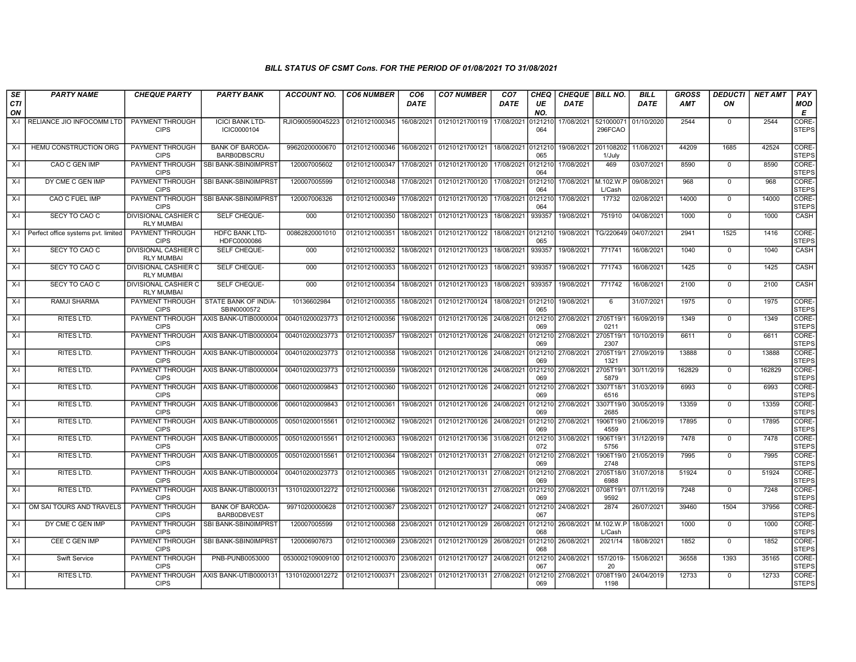| SE               | <b>PARTY NAME</b>                   | <b>CHEQUE PARTY</b>                              | PARTY BANK                                   | ACCOUNT NO.                       | <b>CO6 NUMBER</b>         | CO6         | <b>CO7 NUMBER</b>                 | CO <sub>7</sub>    | <b>CHEQ</b>    | <b>CHEQUE BILL NO.</b> |                      | BILL                 | <b>GROSS</b> | <b>DEDUCTI</b> | <b>NET AMT</b> | <b>PAY</b>            |
|------------------|-------------------------------------|--------------------------------------------------|----------------------------------------------|-----------------------------------|---------------------------|-------------|-----------------------------------|--------------------|----------------|------------------------|----------------------|----------------------|--------------|----------------|----------------|-----------------------|
| <b>CTI</b><br>ON |                                     |                                                  |                                              |                                   |                           | <b>DATE</b> |                                   | <b>DATE</b>        | UE<br>NO.      | DATE                   |                      | <b>DATE</b>          | <b>AMT</b>   | ON             |                | MOD<br>E              |
| X-I              | RELIANCE JIO INFOCOMM LTD           | PAYMENT THROUGH<br><b>CIPS</b>                   | <b>ICICI BANK LTD-</b><br>ICIC0000104        | RJIO900590045223   01210121000345 |                           | 16/08/2021  | 01210121700119 17/08/2021         |                    | 121210<br>064  | 17/08/2021             | 521000071<br>296FCAO | 01/10/2020           | 2544         | $\mathbf 0$    | 2544           | CORE-<br><b>STEPS</b> |
| X-I              | HEMU CONSTRUCTION ORG               | <b>PAYMENT THROUGH</b><br><b>CIPS</b>            | <b>BANK OF BARODA-</b><br><b>BARBODBSCRU</b> | 99620200000670                    | 01210121000346            | 16/08/2021  | 01210121700121                    | 18/08/2021         | 0121210<br>065 | 19/08/2021             | 201108202<br>1/July  | 11/08/2021           | 44209        | 1685           | 42524          | CORE-<br><b>STEPS</b> |
| X-I              | CAO C GEN IMP                       | <b>PAYMENT THROUGH</b><br><b>CIPS</b>            | SBI BANK-SBIN0IMPRST                         | 120007005602                      | 01210121000347            | 17/08/2021  | 01210121700120                    | 17/08/2021         | 0121210<br>064 | 17/08/2021             | 469                  | 03/07/2021           | 8590         | $\mathbf 0$    | 8590           | CORE-<br><b>STEPS</b> |
| X-I              | DY CME C GEN IMP                    | PAYMENT THROUGH<br><b>CIPS</b>                   | <b>SBI BANK-SBIN0IMPRST</b>                  | 120007005599                      | 01210121000348            | 17/08/2021  | 01210121700120                    | 17/08/2021         | 0121210<br>064 | 17/08/2021 M.102.W.P   | L/Cash               | 09/08/2021           | 968          | $\Omega$       | 968            | CORE-<br><b>STEPS</b> |
| $X-I$            | CAO C FUEL IMP                      | PAYMENT THROUGH<br><b>CIPS</b>                   | SBI BANK-SBIN0IMPRST                         | 120007006326                      | 01210121000349            | 17/08/2021  | 01210121700120                    | 17/08/2021         | 0121210<br>064 | 17/08/2021             | 17732                | 02/08/2021           | 14000        | $\Omega$       | 14000          | CORE-<br><b>STEPS</b> |
| X-I              | SECY TO CAO C                       | DIVISIONAL CASHIER C<br><b>RLY MUMBAI</b>        | SELF CHEQUE-                                 | 000                               | 01210121000350            | 18/08/2021  | 01210121700123                    | 18/08/2021         | 939357         | 19/08/2021             | 751910               | 04/08/2021           | 1000         | $^{\circ}$     | 1000           | CASH                  |
| X-I              | Perfect office systems pvt. limited | <b>PAYMENT THROUGH</b><br><b>CIPS</b>            | <b>HDFC BANK LTD-</b><br>HDFC0000086         | 00862820001010                    | 01210121000351            | 18/08/2021  | 01210121700122 18/08/2021 0121210 |                    | 065            | 19/08/2021             |                      | TG/220649 04/07/2021 | 2941         | 1525           | 1416           | CORE-<br><b>STEPS</b> |
| X-I              | SECY TO CAO C                       | DIVISIONAL CASHIER C<br><b>RLY MUMBAI</b>        | SELF CHEQUE-                                 | 000                               | 01210121000352            | 18/08/2021  | 01210121700123                    | 18/08/2021         | 939357         | 19/08/2021             | 771741               | 16/08/2021           | 1040         | $\mathbf{0}$   | 1040           | CASH                  |
| X-I              | SECY TO CAO C                       | <b>DIVISIONAL CASHIER C</b><br><b>RLY MUMBAI</b> | SELF CHEQUE-                                 | 000                               | 01210121000353            | 18/08/2021  | 01210121700123                    | 18/08/2021         | 939357         | 19/08/2021             | 771743               | 16/08/2021           | 1425         | $\mathbf 0$    | 1425           | CASH                  |
| X-I              | SECY TO CAO C                       | DIVISIONAL CASHIER C<br><b>RLY MUMBAI</b>        | SELF CHEQUE-                                 | 000                               | 01210121000354            | 18/08/2021  | 01210121700123                    | 18/08/2021         | 939357         | 19/08/2021             | 771742               | 16/08/2021           | 2100         | $\Omega$       | 2100           | CASH                  |
| X-I              | RAMJI SHARMA                        | PAYMENT THROUGH<br><b>CIPS</b>                   | STATE BANK OF INDIA-<br>SBIN0000572          | 10136602984                       | 01210121000355            | 18/08/2021  | 01210121700124                    | 18/08/2021 0121210 | 065            | 19/08/2021             | -6                   | 31/07/2021           | 1975         | $\Omega$       | 1975           | CORE-<br><b>STEPS</b> |
| X-I              | <b>RITES LTD.</b>                   | <b>PAYMENT THROUGH</b><br><b>CIPS</b>            | AXIS BANK-UTIB0000004                        | 004010200023773                   | 01210121000356            | 19/08/2021  | 01210121700126 24/08/2021         |                    | 0121210<br>069 | 27/08/2021             | 2705T19/<br>0211     | 16/09/2019           | 1349         | $\Omega$       | 1349           | CORE-<br><b>STEPS</b> |
| $X-I$            | RITES LTD.                          | <b>PAYMENT THROUGH</b><br><b>CIPS</b>            | AXIS BANK-UTIB0000004                        | 004010200023773                   | 01210121000357            | 19/08/2021  | 01210121700126                    | 24/08/2021         | 0121210<br>069 | 27/08/2021             | 2705T19/<br>2307     | 10/10/2019           | 6611         | $\mathbf 0$    | 6611           | CORE-<br><b>STEPS</b> |
| $X-I$            | RITES LTD.                          | PAYMENT THROUGH<br><b>CIPS</b>                   | AXIS BANK-UTIB0000004                        | 004010200023773                   | 01210121000358            | 19/08/2021  | 01210121700126 24/08/2021         |                    | 0121210<br>069 | 27/08/2021             | 2705T19/1<br>1321    | 27/09/2019           | 13888        | $\Omega$       | 13888          | CORE-<br><b>STEPS</b> |
| $X-I$            | <b>RITES LTD.</b>                   | PAYMENT THROUGH<br><b>CIPS</b>                   | AXIS BANK-UTIB0000004                        | 004010200023773                   | 01210121000359            | 19/08/2021  | 01210121700126 24/08/2021         |                    | 069            | 0121210 27/08/2021     | 2705T19/1<br>5879    | 30/11/2019           | 162829       | $\Omega$       | 162829         | CORE-<br><b>STEPS</b> |
| $X-I$            | <b>RITES LTD.</b>                   | PAYMENT THROUGH<br><b>CIPS</b>                   | AXIS BANK-UTIB0000006                        | 006010200009843                   | 01210121000360            | 19/08/2021  | 01210121700126 24/08/2021         |                    | 121210<br>069  | 27/08/2021             | 3307T18/1<br>6516    | 31/03/2019           | 6993         | $\Omega$       | 6993           | CORE-<br><b>STEPS</b> |
| X-I              | RITES LTD.                          | PAYMENT THROUGH<br><b>CIPS</b>                   | AXIS BANK-UTIB0000006                        | 006010200009843                   | 01210121000361            | 19/08/2021  | 01210121700126 24/08/2021         |                    | 069            | 0121210 27/08/2021     | 3307T19/0<br>2685    | 30/05/2019           | 13359        | $\mathbf 0$    | 13359          | CORE-<br><b>STEPS</b> |
| X-I              | <b>RITES LTD.</b>                   | <b>PAYMENT THROUGH</b><br><b>CIPS</b>            | AXIS BANK-UTIB0000005                        | 005010200015561                   | 01210121000362            | 19/08/2021  | 01210121700126                    | 24/08/2021         | 0121210<br>069 | 27/08/2021             | 1906T19/0<br>4559    | 21/06/2019           | 17895        | $\mathbf 0$    | 17895          | CORE-<br><b>STEPS</b> |
| X-I              | <b>RITES LTD.</b>                   | PAYMENT THROUGH<br><b>CIPS</b>                   | AXIS BANK-UTIB0000005                        | 005010200015561                   | 01210121000363            | 19/08/2021  | 01210121700136 31/08/2021         |                    | 0121210<br>072 | 31/08/2021             | 1906T19/1<br>5756    | 31/12/2019           | 7478         | $\Omega$       | 7478           | CORE-<br><b>STEPS</b> |
| $X-I$            | <b>RITES LTD.</b>                   | <b>PAYMENT THROUGH</b><br><b>CIPS</b>            | AXIS BANK-UTIB0000005                        | 005010200015561                   | 01210121000364            | 19/08/2021  | 01210121700131                    | 27/08/2021         | 121210<br>069  | 27/08/2021             | 1906T19/0<br>2748    | 21/05/2019           | 7995         | $\Omega$       | 7995           | CORE-<br><b>STEPS</b> |
| $X-I$            | <b>RITES LTD.</b>                   | <b>PAYMENT THROUGH</b><br><b>CIPS</b>            | AXIS BANK-UTIB0000004                        | 004010200023773                   | 01210121000365            | 19/08/2021  | 01210121700131 27/08/2021         |                    | 0121210<br>069 | 27/08/2021             | 2705T18/0<br>6988    | 31/07/2018           | 51924        | $\Omega$       | 51924          | CORE-<br><b>STEPS</b> |
| X-I              | RITES LTD.                          | <b>PAYMENT THROUGH</b><br><b>CIPS</b>            | AXIS BANK-UTIB0000131                        | 131010200012272                   | 01210121000366            | 19/08/2021  | 01210121700131 27/08/2021         |                    | 069            | 0121210 27/08/2021     | 0708T19/1<br>9592    | 07/11/2019           | 7248         | $\Omega$       | 7248           | CORE-<br><b>STEPS</b> |
| X-I              | OM SAI TOURS AND TRAVELS            | PAYMENT THROUGH<br><b>CIPS</b>                   | <b>BANK OF BARODA-</b><br>BARB0DBVEST        | 99710200000628                    | 01210121000367            | 23/08/2021  | 01210121700127 24/08/2021         |                    | 121210<br>067  | 24/08/2021             | 2874                 | 26/07/2021           | 39460        | 1504           | 37956          | CORE-<br><b>STEPS</b> |
| X-I              | DY CME C GEN IMP                    | PAYMENT THROUGH<br><b>CIPS</b>                   | SBI BANK-SBIN0IMPRST                         | 120007005599                      | 01210121000368            | 23/08/2021  | 01210121700129 26/08/2021         |                    | 0121210<br>068 | 26/08/2021             | M.102.W.P<br>L/Cash  | 18/08/2021           | 1000         | $\mathbf 0$    | 1000           | CORE-<br><b>STEPS</b> |
| X-I              | CEE C GEN IMP                       | PAYMENT THROUGH<br><b>CIPS</b>                   | SBI BANK-SBIN0IMPRST                         | 120006907673                      | 01210121000369            | 23/08/2021  | 01210121700129 26/08/2021         |                    | 121210<br>068  | 26/08/2021             | 2021/14              | 18/08/2021           | 1852         | $\mathbf 0$    | 1852           | CORE-<br><b>STEPS</b> |
| $X-I$            | <b>Swift Service</b>                | PAYMENT THROUGH<br><b>CIPS</b>                   | PNB-PUNB0053000                              | 0530002109009100                  | 01210121000370            | 23/08/2021  | 01210121700127                    | 24/08/2021         | 0121210<br>067 | 24/08/2021             | 157/2019-<br>20      | 15/08/2021           | 36558        | 1393           | 35165          | CORE-<br><b>STEPS</b> |
| $X-I$            | <b>RITES LTD.</b>                   | <b>PAYMENT THROUGH</b><br><b>CIPS</b>            | AXIS BANK-UTIB0000131                        | 131010200012272                   | 01210121000371 23/08/2021 |             | 01210121700131 27/08/2021         |                    | 0121210<br>069 | 27/08/2021             | 0708T19/0<br>1198    | 24/04/2019           | 12733        | $\mathbf 0$    | 12733          | CORE-<br><b>STEPS</b> |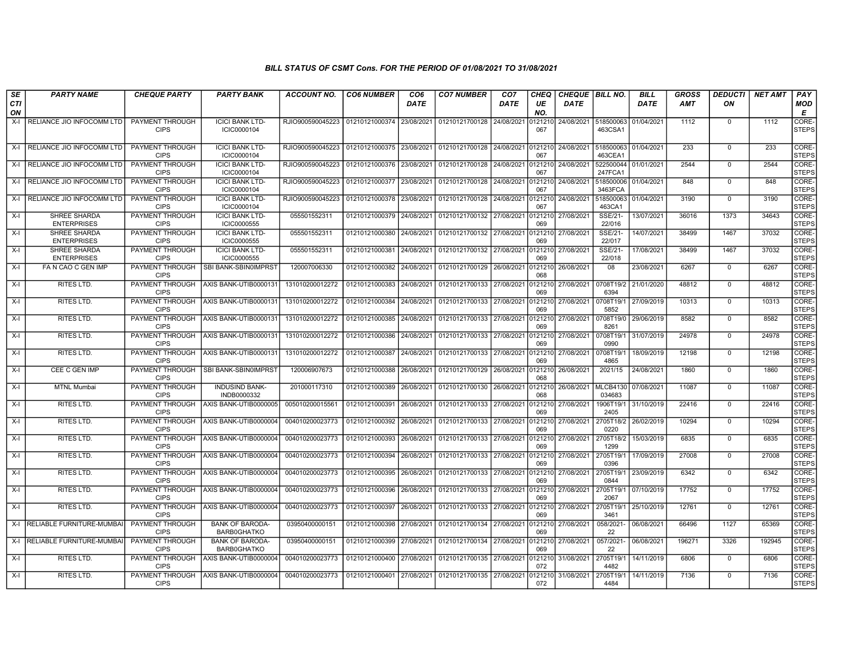| SE               | <b>PARTY NAME</b>                         | <b>CHEQUE PARTY</b>                   | <b>PARTY BANK</b>                     | ACCOUNT NO.      | <b>CO6 NUMBER</b>         | CO <sub>6</sub> | <b>CO7 NUMBER</b>                 | CO <sub>7</sub> | CHEQ           | <b>CHEQUE BILL NO.</b> |                           | <b>BILL</b> | GROSS      | <b>DEDUCTI</b> | NET AMT | <b>PAY</b>            |
|------------------|-------------------------------------------|---------------------------------------|---------------------------------------|------------------|---------------------------|-----------------|-----------------------------------|-----------------|----------------|------------------------|---------------------------|-------------|------------|----------------|---------|-----------------------|
| <b>CTI</b><br>ON |                                           |                                       |                                       |                  |                           | DATE            |                                   | DATE            | UE<br>NO.      | <b>DATE</b>            |                           | DATE        | <b>AMT</b> | ON             |         | <b>MOD</b><br>E       |
| $X-I$            | RELIANCE JIO INFOCOMM LTD                 | PAYMENT THROUGH<br><b>CIPS</b>        | <b>ICICI BANK LTD-</b><br>ICIC0000104 | RJIO900590045223 | 01210121000374 23/08/2021 |                 | 01210121700128                    | 24/08/2021      | 0121210<br>067 | 24/08/2021             | 518500063<br>463CSA1      | 01/04/2021  | 1112       | $^{\circ}$     | 1112    | CORE-<br><b>STEPS</b> |
| X-I              | RELIANCE JIO INFOCOMM LTD                 | PAYMENT THROUGH<br><b>CIPS</b>        | <b>ICICI BANK LTD-</b><br>ICIC0000104 | RJIO900590045223 | 01210121000375 23/08/2021 |                 | 01210121700128 24/08/2021         |                 | 012121<br>067  | 24/08/2021             | 518500063<br>463CEA1      | 01/04/2021  | 233        | $\mathbf{0}$   | 233     | CORE-<br><b>STEPS</b> |
| X-I              | I RELIANCE JIO INFOCOMM LTD               | PAYMENT THROUGH<br><b>CIPS</b>        | <b>ICICI BANK LTD-</b><br>ICIC0000104 | RJIO900590045223 | l 01210121000376          | 23/08/2021      | 01210121700128                    | 24/08/2021      | 0121210<br>067 | 24/08/2021             | 522500044<br>247FCA1      | 01/01/2021  | 2544       | $^{\circ}$     | 2544    | CORE-<br><b>STEPS</b> |
| X-I              | RELIANCE JIO INFOCOMM LTD                 | <b>PAYMENT THROUGH</b><br><b>CIPS</b> | <b>ICICI BANK LTD-</b><br>ICIC0000104 | RJIO900590045223 | 01210121000377 23/08/2021 |                 | 01210121700128                    | 24/08/2021      | 012121<br>067  | 24/08/2021             | 518500006<br>3463FCA      | 01/04/2021  | 848        | $\mathbf{0}$   | 848     | CORE-<br><b>STEPS</b> |
| $X-I$            | RELIANCE JIO INFOCOMM LTD                 | <b>PAYMENT THROUGH</b><br><b>CIPS</b> | <b>ICICI BANK LTD-</b><br>ICIC0000104 | RJIO900590045223 | 01210121000378            | 23/08/2021      | 01210121700128                    | 24/08/2021      | 0121210<br>067 | 24/08/2021             | 518500063<br>463CA1       | 01/04/2021  | 3190       | $\Omega$       | 3190    | CORE-<br><b>STEPS</b> |
| $X-I$            | SHREE SHARDA<br><b>ENTERPRISES</b>        | <b>PAYMENT THROUGH</b><br><b>CIPS</b> | <b>ICICI BANK LTD-</b><br>ICIC0000555 | 055501552311     | 01210121000379 24/08/2021 |                 | 01210121700132 27/08/2021         |                 | 0121210<br>069 | 27/08/2021             | SSE/21-<br>22/016         | 13/07/2021  | 36016      | 1373           | 34643   | CORE-<br><b>STEPS</b> |
| $X-I$            | <b>SHREE SHARDA</b><br><b>ENTERPRISES</b> | <b>PAYMENT THROUGH</b><br><b>CIPS</b> | <b>ICICI BANK LTD-</b><br>ICIC0000555 | 055501552311     | 01210121000380 24/08/2021 |                 | 01210121700132 27/08/2021         |                 | 0121210<br>069 | 27/08/2021             | SSE/21-<br>22/017         | 14/07/2021  | 38499      | 1467           | 37032   | CORE-<br><b>STEPS</b> |
| X-I              | SHREE SHARDA<br><b>ENTERPRISES</b>        | PAYMENT THROUGH<br><b>CIPS</b>        | <b>ICICI BANK LTD-</b><br>ICIC0000555 | 055501552311     | 01210121000381 24/08/2021 |                 | 01210121700132 27/08/2021         |                 | 0121210<br>069 | 27/08/2021             | SSE/21-<br>22/018         | 17/08/2021  | 38499      | 1467           | 37032   | CORE-<br><b>STEPS</b> |
| X-I              | FA N CAO C GEN IMP                        | PAYMENT THROUGH<br><b>CIPS</b>        | SBI BANK-SBIN0IMPRST                  | 120007006330     | 01210121000382            | 24/08/2021      | 01210121700129                    | 26/08/2021      | 0121210<br>068 | 26/08/2021             | 08                        | 23/08/2021  | 6267       | $\mathbf{0}$   | 6267    | CORE-<br><b>STEPS</b> |
| X-I              | RITES LTD.                                | PAYMENT THROUGH<br><b>CIPS</b>        | AXIS BANK-UTIB0000131                 | 131010200012272  | 01210121000383 24/08/2021 |                 | 01210121700133 27/08/2021         |                 | 0121210<br>069 | 27/08/2021             | 0708T19/2<br>6394         | 21/01/2020  | 48812      | $\Omega$       | 48812   | CORE-<br><b>STEPS</b> |
| X-I              | <b>RITES LTD.</b>                         | <b>PAYMENT THROUGH</b><br><b>CIPS</b> | AXIS BANK-UTIB0000131                 | 131010200012272  | 01210121000384 24/08/2021 |                 | 01210121700133 27/08/2021         |                 | 0121210<br>069 | 27/08/2021             | 0708T19/1<br>5852         | 27/09/2019  | 10313      | $\mathbf{0}$   | 10313   | CORE-<br><b>STEPS</b> |
| $X-I$            | <b>RITES LTD.</b>                         | <b>PAYMENT THROUGH</b><br><b>CIPS</b> | AXIS BANK-UTIB0000131                 | 131010200012272  | 01210121000385            | 24/08/2021      | 01210121700133 27/08/2021         |                 | 0121210<br>069 | 27/08/2021             | 0708T19/0<br>8261         | 29/06/2019  | 8582       | $\mathbf 0$    | 8582    | CORE-<br><b>STEPS</b> |
| $X-I$            | RITES LTD.                                | PAYMENT THROUGH<br><b>CIPS</b>        | AXIS BANK-UTIB0000131                 | 131010200012272  | 01210121000386 24/08/2021 |                 | 01210121700133                    | 27/08/2021      | 0121210<br>069 | 27/08/2021             | 0708T19/1<br>0990         | 31/07/2019  | 24978      | $^{\circ}$     | 24978   | CORE-<br><b>STEPS</b> |
| $X-I$            | RITES LTD.                                | PAYMENT THROUGH<br><b>CIPS</b>        | AXIS BANK-UTIB0000131                 | 131010200012272  | 01210121000387 24/08/2021 |                 | 01210121700133 27/08/2021         |                 | 0121210<br>069 | 27/08/2021             | 0708T19/1<br>4865         | 18/09/2019  | 12198      | $\mathbf{0}$   | 12198   | CORE-<br><b>STEPS</b> |
| $X-I$            | CEE C GEN IMP                             | PAYMENT THROUGH<br><b>CIPS</b>        | <b>SBI BANK-SBIN0IMPRST</b>           | 120006907673     | 01210121000388 26/08/2021 |                 | 01210121700129 26/08/2021         |                 | 0121210<br>068 | 26/08/2021             | 2021/15                   | 24/08/2021  | 1860       | $\Omega$       | 1860    | CORE-<br><b>STEPS</b> |
| X-I              | <b>MTNL Mumbai</b>                        | <b>PAYMENT THROUGH</b><br><b>CIPS</b> | <b>INDUSIND BANK-</b><br>INDB0000332  | 201000117310     | 01210121000389 26/08/2021 |                 | 01210121700130 26/08/2021         |                 | 0121210<br>068 | 26/08/2021             | <b>MLCB4130</b><br>034683 | 07/08/2021  | 11087      | $\Omega$       | 11087   | CORE-<br><b>STEPS</b> |
| $X-I$            | RITES LTD.                                | PAYMENT THROUGH<br><b>CIPS</b>        | AXIS BANK-UTIB0000005                 | 005010200015561  | 01210121000391            | 26/08/2021      | 01210121700133 27/08/2021         |                 | 0121210<br>069 | 27/08/2021             | 1906T19/1<br>2405         | 31/10/2019  | 22416      | $\mathbf{0}$   | 22416   | CORE-<br><b>STEPS</b> |
| X-I              | RITES LTD.                                | <b>PAYMENT THROUGH</b><br><b>CIPS</b> | AXIS BANK-UTIB0000004                 | 004010200023773  | 01210121000392            | 26/08/2021      | 01210121700133 27/08/2021         |                 | 0121210<br>069 | 27/08/2021             | 2705T18/2<br>0220         | 26/02/2019  | 10294      | $\mathbf 0$    | 10294   | CORE-<br><b>STEPS</b> |
| $X-I$            | <b>RITES LTD.</b>                         | PAYMENT THROUGH<br><b>CIPS</b>        | AXIS BANK-UTIB0000004                 | 004010200023773  | 01210121000393            | 26/08/2021      | 01210121700133                    | 27/08/2021      | 012121<br>069  | 27/08/2021             | 2705T18/2<br>1299         | 15/03/2019  | 6835       | $\mathbf 0$    | 6835    | CORE-<br><b>STEPS</b> |
| X-I              | <b>RITES LTD.</b>                         | <b>PAYMENT THROUGH</b><br><b>CIPS</b> | AXIS BANK-UTIB0000004                 | 004010200023773  | 01210121000394            | 26/08/2021      | 01210121700133                    | 27/08/2021      | 0121210<br>069 | 27/08/2021             | 2705T19/1<br>0396         | 17/09/2019  | 27008      | $\mathbf{0}$   | 27008   | CORE-<br><b>STEPS</b> |
| X-I              | <b>RITES LTD.</b>                         | <b>PAYMENT THROUGH</b><br><b>CIPS</b> | AXIS BANK-UTIB0000004                 | 004010200023773  | 01210121000395 26/08/2021 |                 | 01210121700133 27/08/2021 0121210 |                 | 069            | 27/08/2021             | 2705T19/1<br>0844         | 23/09/2019  | 6342       | $\mathbf 0$    | 6342    | CORE-<br><b>STEPS</b> |
| $X-I$            | RITES LTD.                                | PAYMENT THROUGH<br><b>CIPS</b>        | AXIS BANK-UTIB0000004                 | 004010200023773  | 01210121000396 26/08/2021 |                 | 01210121700133 27/08/2021         |                 | 0121210<br>069 | 27/08/2021             | 2705T19/1<br>2067         | 07/10/2019  | 17752      | $\mathbf{0}$   | 17752   | CORE-<br><b>STEPS</b> |
| $X-I$            | RITES LTD.                                | PAYMENT THROUGH<br><b>CIPS</b>        | AXIS BANK-UTIB0000004                 | 004010200023773  | 01210121000397            | 26/08/2021      | 01210121700133 27/08/2021         |                 | 0121210<br>069 | 27/08/2021             | 2705T19/1<br>3461         | 25/10/2019  | 12761      | $\mathbf 0$    | 12761   | CORE-<br><b>STEPS</b> |
| X-I              | RELIABLE FURNITURE-MUMBAI                 | <b>PAYMENT THROUGH</b><br><b>CIPS</b> | <b>BANK OF BARODA-</b><br>BARB0GHATKO | 03950400000151   | 01210121000398            | 27/08/2021      | 01210121700134 27/08/2021         |                 | 0121210<br>069 | 27/08/2021             | 058/2021-<br>22           | 06/08/2021  | 66496      | 1127           | 65369   | CORE-<br><b>STEPS</b> |
| $X-I$            | RELIABLE FURNITURE-MUMBAI                 | PAYMENT THROUGH<br><b>CIPS</b>        | <b>BANK OF BARODA</b><br>BARB0GHATKO  | 03950400000151   | 01210121000399 27/08/2021 |                 | 01210121700134 27/08/2021         |                 | 0121210<br>069 | 27/08/2021             | 057/2021<br>22            | 06/08/2021  | 196271     | 3326           | 192945  | CORE-<br><b>STEPS</b> |
| X-I              | RITES LTD.                                | PAYMENT THROUGH<br><b>CIPS</b>        | AXIS BANK-UTIB0000004                 | 004010200023773  | 01210121000400 27/08/2021 |                 | 01210121700135 27/08/2021         |                 | 0121210<br>072 | 31/08/2021             | 2705T19/<br>4482          | 14/11/2019  | 6806       | $\mathbf 0$    | 6806    | CORE-<br><b>STEPS</b> |
| $X-I$            | RITES LTD.                                | PAYMENT THROUGH<br><b>CIPS</b>        | AXIS BANK-UTIB0000004                 | 004010200023773  | 01210121000401 27/08/2021 |                 | 01210121700135 27/08/2021         |                 | 0121210<br>072 | 31/08/2021             | 2705T19/1<br>4484         | 14/11/2019  | 7136       | $\mathbf{0}$   | 7136    | CORE-<br><b>STEPS</b> |